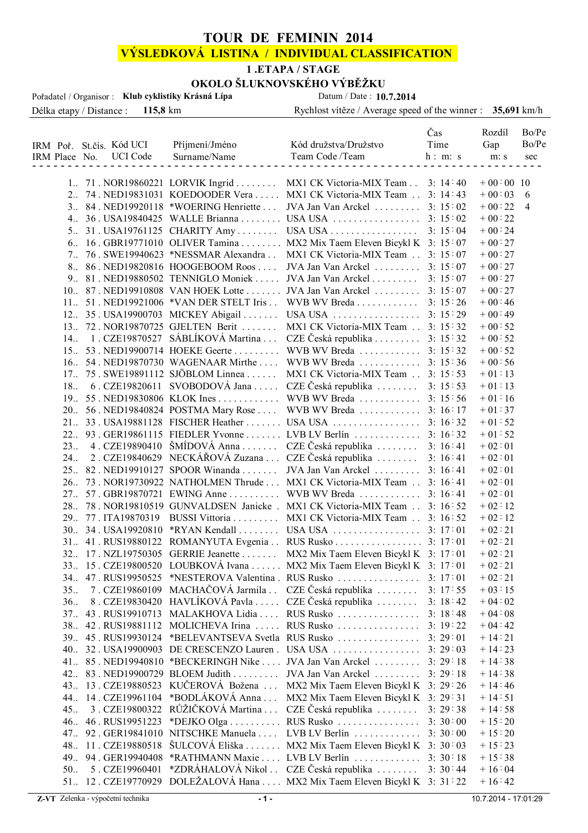## **TOUR DE FEMININ 2014**

# **VÝSLEDKOVÁ LISTINA / INDIVIDUAL CLASSIFICATION**

#### **1 .ETAPA / STAGE**

# **OKOLO ŠLUKNOVSKÉHO VÝBĚŽKU**<br>Crásná Lípa Datum / Date : 10.7.2014

Délka etapy / Distance : **115,8** km Rychlost vítěze / Average speed of the winner : **35,691** km/h Pořadatel / Organisor : **Klub cyklistiky Krásná Lípa** IRM Poř. St.čís. Kód UCI Příjmení/Jméno kód družstva/Družstvo Čas Rozdíl Bo/Pe Time Gap  $\overline{\rm IR}$ 

|                | IRM Place No. UCI Code | Surname/Name                        | Team Code /Team                                                            | h: m: s | m: s        | sec            |
|----------------|------------------------|-------------------------------------|----------------------------------------------------------------------------|---------|-------------|----------------|
|                |                        |                                     |                                                                            |         |             |                |
|                |                        |                                     | 1. 71. NOR19860221 LORVIK Ingrid MX1 CK Victoria-MIX Team 3: 14:40         |         | $+00:00$ 10 |                |
|                |                        |                                     | 2. 74. NED19831031 KOEDOODER Vera  MX1 CK Victoria-MIX Team  3: 14:43      |         | $+00:03$    | - 6            |
|                |                        |                                     | 3. 84. NED19920118 *WOERING Henriette  JVA Jan Van Arckel  3: 15:02        |         | $+00:22$    | $\overline{4}$ |
|                |                        |                                     | 4. 36. USA19840425 WALLE Brianna  USA USA  3: 15:02                        |         | $+00:22$    |                |
|                |                        |                                     | 5. 31. USA19761125 CHARITY Amy USA USA 3: 15:04                            |         | $+00:24$    |                |
|                |                        |                                     | 6. 16. GBR19771010 OLIVER Tamina  MX2 Mix Taem Eleven Bicykl K 3: 15:07    |         | $+00:27$    |                |
|                |                        |                                     | 7. 76. SWE19940623 *NESSMAR Alexandra . MX1 CK Victoria-MIX Team 3: 15:07  |         | $+00:27$    |                |
|                |                        |                                     | 8. 86. NED19820816 HOOGEBOOM Roos  JVA Jan Van Arckel  3: 15:07            |         | $+00:27$    |                |
|                |                        |                                     | 9. 81. NED19880502 TENNIGLO Moniek  JVA Jan Van Arckel  3: 15:07           |         | $+00:27$    |                |
|                |                        |                                     | 10. 87. NED19910808 VAN HOEK Lotte  JVA Jan Van Arckel  3: 15:07           |         | $+00:27$    |                |
|                |                        |                                     | 11. 51. NED19921006 *VAN DER STELT Iris WVB WV Breda 3: 15:26              |         | $+00:46$    |                |
|                |                        |                                     | 12. 35. USA19900703 MICKEY Abigail USA USA 3: 15:29                        |         | $+00:49$    |                |
|                |                        |                                     | 13. 72. NOR19870725 GJELTEN Berit  MX1 CK Victoria-MIX Team  3: 15:32      |         | $+00:52$    |                |
|                |                        |                                     | 14. 1. CZE19870527 SÁBLÍKOVÁ Martina  CZE Česká republika  3: 15:32        |         | $+00:52$    |                |
|                |                        |                                     | 15. 53. NED19900714 HOEKE Geerte  WVB WV Breda  3: 15:32                   |         | $+00:52$    |                |
|                |                        |                                     | 16. 54. NED19870730 WAGENAAR Mirthe  WVB WV Breda  3: 15:36                |         | $+00:56$    |                |
|                |                        |                                     | 17. 75. SWE19891112 SJÖBLOM Linnea  MX1 CK Victoria-MIX Team  3: 15:53     |         | $+01:13$    |                |
|                |                        |                                     | 18. 6. CZE19820611 SVOBODOVÁ Jana  CZE Česká republika    3: 15:53         |         | $+01:13$    |                |
|                |                        |                                     | 19. 55. NED19830806 KLOK Ines  WVB WV Breda  3: 15:56                      |         | $+01:16$    |                |
|                |                        |                                     | 20. 56. NED19840824 POSTMA Mary Rose  WVB WV Breda  3: 16:17               |         | $+01:37$    |                |
|                |                        |                                     |                                                                            |         | $+01:52$    |                |
|                |                        |                                     | 22. 93. GER19861115 FIEDLER Yvonne LVB LV Berlín  3: 16:32                 |         | $+01:52$    |                |
| $23_{\ldots}$  |                        |                                     | 4. CZE19890410 ŠMÍDOVÁ Anna  CZE Česká republika  3: 16:41                 |         | $+02:01$    |                |
| 24.            |                        |                                     | 2. CZE19840629 NECKÁŘOVÁ Zuzana  CZE Česká republika  3: 16:41             |         | $+02:01$    |                |
|                |                        |                                     | 25. 82. NED19910127 SPOOR Winanda  JVA Jan Van Arckel  3: 16:41            |         | $+02:01$    |                |
|                |                        |                                     | 26. 73. NOR19730922 NATHOLMEN Thrude  MX1 CK Victoria-MIX Team  3: 16:41   |         | $+02:01$    |                |
|                |                        |                                     | 27. 57. GBR19870721 EWING Anne  WVB WV Breda  3: 16:41                     |         | $+02:01$    |                |
|                |                        |                                     | 28. 78. NOR19810519 GUNVALDSEN Janicke . MX1 CK Victoria-MIX Team 3: 16:52 |         | $+02:12$    |                |
|                |                        |                                     | 29. 77. ITA19870319 BUSSI Vittoria  MX1 CK Victoria-MIX Team  3: 16:52     |         | $+02:12$    |                |
|                |                        |                                     |                                                                            |         | $+02:21$    |                |
|                |                        |                                     | 31. 41. RUS19880122 ROMANYUTA Evgenia RUS Rusko 3: 17:01                   |         | $+02:21$    |                |
|                |                        |                                     | 32. 17. NZL19750305 GERRIE Jeanette  MX2 Mix Taem Eleven Bicykl K 3: 17:01 |         | $+02:21$    |                |
|                |                        |                                     | 33. 15. CZE19800520 LOUBKOVÁ Ivana  MX2 Mix Taem Eleven Bicykl K 3: 17:01  |         | $+02:21$    |                |
|                |                        |                                     | 34. 47. RUS19950525 *NESTEROVA Valentina. RUS Rusko  3: 17:01              |         | $+02:21$    |                |
|                |                        |                                     | 35. 7. CZE19860109 MACHAČOVÁ Jarmila . CZE Česká republika  3: 17:55       |         | $+03:15$    |                |
| 36.            |                        | 8. CZE19830420 HAVLÍKOVÁ Pavla      | CZE Česká republika $\ldots \ldots$                                        | 3:18:42 | $+04:02$    |                |
| 37.            |                        |                                     | 43 . RUS19910713 MALAKHOVA Lidia RUS Rusko 3: 18:48                        |         | $+04:08$    |                |
|                |                        |                                     | 38. 42. RUS19881112 MOLICHEVA Irina  RUS Rusko  3: 19:22                   |         | $+04:42$    |                |
|                |                        |                                     |                                                                            |         | $+14:21$    |                |
|                |                        |                                     |                                                                            |         | $+14:23$    |                |
|                |                        |                                     | 41. 85. NED19940810 *BECKERINGH Nike  JVA Jan Van Arckel  3: 29:18         |         | $+14:38$    |                |
|                |                        | 42. 83. NED19900729 BLOEM Judith    | JVA Jan Van Arckel                                                         | 3:29:18 | $+14:38$    |                |
|                |                        | 43. 13. CZE19880523 KUČEROVÁ Božena | MX2 Mix Taem Eleven Bicykl K 3: 29:26                                      |         | $+14:46$    |                |
|                |                        | 44. 14. CZE19961104 *BODLÁKOVÁ Anna | MX2 Mix Taem Eleven Bicykl K 3: 29:31                                      |         | $+14:51$    |                |
| 45 <sub></sub> |                        | 3. CZE19800322 RŮŽIČKOVÁ Martina    | CZE Česká republika $\ldots \ldots$                                        | 3:29:38 | $+14:58$    |                |
|                |                        | 46. 46. RUS19951223 *DEJKO Olga     | RUS Rusko                                                                  | 3:30:00 | $+15:20$    |                |
|                |                        |                                     | 47. 92. GER19841010 NITSCHKE Manuela  LVB LV Berlín                        | 3:30:00 | $+15:20$    |                |
|                |                        |                                     | 48. 11. CZE19880518 ŠULCOVÁ Eliška  MX2 Mix Taem Eleven Bicykl K 3: 30:03  |         | $+15:23$    |                |
|                |                        |                                     | 49. 94. GER19940408 *RATHMANN Maxie  LVB LV Berlín                         | 3:30:18 | $+15:38$    |                |
| 50.            | 5. CZE19960401         |                                     | *ZDRÁHALOVÁ Nikol . CZE Česká republika                                    | 3:30:44 | $+16:04$    |                |
|                |                        |                                     | 51. 12. CZE19770929 DOLEŽALOVÁ Hana  MX2 Mix Taem Eleven Bicykl K 3: 31:22 |         | $+16:42$    |                |
|                |                        |                                     |                                                                            |         |             |                |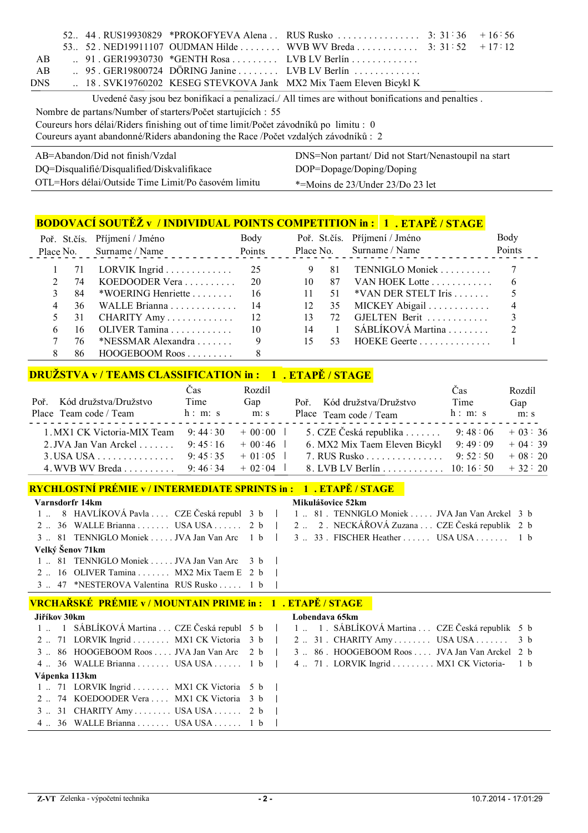|                                                                                                    |  |  | 53. 52. NED19911107 OUDMAN Hilde WVB WV Breda 3: 31:52 $+17:12$  |  |  |
|----------------------------------------------------------------------------------------------------|--|--|------------------------------------------------------------------|--|--|
| AB.                                                                                                |  |  | $\therefore$ 91. GER19930730 *GENTH Rosa  LVB LV Berlín          |  |  |
| AB                                                                                                 |  |  | $\therefore$ 95. GER19800724 DÖRING Janine  LVB LV Berlín        |  |  |
| <b>DNS</b>                                                                                         |  |  | 18. SVK19760202 KESEG STEVKOVA Jank MX2 Mix Taem Eleven Bicykl K |  |  |
| Uvedené časy jsou bez bonifikací a penalizací./ All times are without bonifications and penalties. |  |  |                                                                  |  |  |

Nombre de partans/Number of starters/Počet startujících : 55

Coureurs hors délai/Riders finishing out of time limit/Počet závodníků po limitu : 0

Coureurs ayant abandonné/Riders abandoning the Race /Počet vzdalých závodníků : 2

| AB=Abandon/Did not finish/Vzdal                     | DNS=Non partant/ Did not Start/Nenastoupil na start |
|-----------------------------------------------------|-----------------------------------------------------|
| DQ=Disqualifié/Disqualified/Diskvalifikace          | DOP=Dopage/Doping/Doping                            |
| OTL=Hors délai/Outside Time Limit/Po časovém limitu | *=Moins de 23/Under 23/Do 23 let                    |

# **BODOVACÍ SOUTĚŽ v / INDIVIDUAL POINTS COMPETITION in : 1 . ETAPĚ / STAGE**

|   |     | Poř. St.čís. Příjmení / Jméno<br>Place No. Surname / Name | Body            |    |      | Poř. St.čís. Příjmení / Jméno<br>Place No. Surname / Name | Body<br>Points |
|---|-----|-----------------------------------------------------------|-----------------|----|------|-----------------------------------------------------------|----------------|
|   |     | 71 LORVIK Ingrid 25                                       |                 |    | -81  |                                                           |                |
|   | 74  |                                                           | 20              | 10 |      | 87 VAN HOEK Lotte                                         | -6             |
|   | 84  | *WOERING Henriette $\ldots \ldots \ldots$ 16              |                 | 11 | 51   | $*VAN$ DER STELT Iris $\ldots \ldots$                     |                |
| 4 | 36. | WALLE Brianna 14                                          |                 | 12 | 35   | MICKEY Abigail                                            |                |
|   |     | 31 CHARITY Amy $12$                                       |                 | 13 | 72   | GJELTEN Berit                                             |                |
| 6 | 16. | OLIVER Tamina                                             | $\overline{10}$ |    | 14 1 | SÁBLÍKOVÁ Martina                                         |                |
|   | 76  | *NESSMAR Alexandra $\ldots$                               | 9               | 15 | 53   | HOEKE Geerte                                              |                |
|   | 86. | HOOGEBOOM Roos                                            |                 |    |      |                                                           |                |

## **DRUŽSTVA v / TEAMS CLASSIFICATION in : 1 . ETAPĚ / STAGE**

| Poř. Kód družstva/Družstvo<br>Place Team code / Team | $\cos$<br>Time<br>h: m: s | Rozdíl<br>Gap<br>m: s | Poř. Kód družstva/Družstvo<br>Place Team code / Team | Cas<br>Time<br>h: m: s | Rozdíl<br>Gap<br>m: s |
|------------------------------------------------------|---------------------------|-----------------------|------------------------------------------------------|------------------------|-----------------------|
| 1. MX1 CK Victoria-MIX Team $9: 44:30 + 00:00$       |                           |                       | 5. CZE Česká republika  9:48:06 + 03:36              |                        |                       |
| 2. JVA Jan Van Arckel 9:45:16                        |                           | $+00:46$              | 6. MX2 Mix Taem Eleven Bicykl 9:49:09                |                        | $+04:39$              |
| $3. USA USA$ 9: 45:35                                |                           | $+01:05$              | 7. RUS Rusko 9: 52:50                                |                        | $+08:20$              |
| 4. WVB WV Breda 9: 46:34                             |                           | $+02:04$              | 8. LVB LV Berlín 10: 16:50                           |                        | $+32:20$              |

#### **RYCHLOSTNÍ PRÉMIE v / INTERMEDIATE SPRINTS in : 1 . ETAPĚ / STAGE**

| Varnsdorfr 14km |                                                 |  |  | Mikulášovice 52km                                                                              |
|-----------------|-------------------------------------------------|--|--|------------------------------------------------------------------------------------------------|
|                 |                                                 |  |  | 1  8 HAVLÍKOVÁ Pavla  CZE Česká republ 3 b   1  81 . TENNIGLO Moniek  . JVA Jan Van Arckel 3 b |
|                 |                                                 |  |  | 2. 36 WALLE Brianna  USA USA  2 b   2. 2. NECKÁŘOVÁ Zuzana  CZE Česká republik 2 b             |
|                 |                                                 |  |  | 3 . 81 TENNIGLO Moniek JVA Jan Van Arc 1 b   3 . 33 . FISCHER Heather USA USA 1 b              |
|                 | Velký Šenov 71km                                |  |  |                                                                                                |
|                 | 1  81 TENNIGLO Moniek  JVA Jan Van Arc 3 b      |  |  |                                                                                                |
|                 | 2  16 OLIVER Tamina  MX2 Mix Taem E 2 b $\vert$ |  |  |                                                                                                |
|                 | 3  47 *NESTEROVA Valentina RUS Rusko  1 b       |  |  |                                                                                                |

#### **VRCHAŘSKÉ PRÉMIE v / MOUNTAIN PRIME in : 1 . ETAPĚ / STAGE**

| Jiříkov 30km                                                       | Lobendava 65km |                                                                                                |  |  |  |
|--------------------------------------------------------------------|----------------|------------------------------------------------------------------------------------------------|--|--|--|
|                                                                    |                | 1  1 SÁBLÍKOVÁ Martina  CZE Česká republ 5 b   1  1. SÁBLÍKOVÁ Martina  CZE Česká republik 5 b |  |  |  |
| 2  71 LORVIK Ingrid  MX1 CK Victoria 3 b                           |                | $2 \ldots 31$ . CHARITY Amy USA USA 3 b                                                        |  |  |  |
| $3 \dots 86$ HOOGEBOOM Roos  JVA Jan Van Arc $2 b$                 |                | 3  86 . HOOGEBOOM Roos  JVA Jan Van Arckel 2 b                                                 |  |  |  |
| 4 $\ldots$ 36 WALLE Brianna $\ldots$ USA USA $\ldots$ 1 b          |                | 4  71 . LORVIK Ingrid  MX1 CK Victoria- 1 b                                                    |  |  |  |
| Vápenka 113km                                                      |                |                                                                                                |  |  |  |
| 1  71 LORVIK Ingrid  MX1 CK Victoria $5 b$                         |                |                                                                                                |  |  |  |
| 2  74 KOEDOODER Vera  MX1 CK Victoria 3 b                          |                |                                                                                                |  |  |  |
| $3 \dots 31$ CHARITY Amy USA USA 2 b                               |                |                                                                                                |  |  |  |
| 4 $\ldots$ 36 WALLE Brianna $\ldots$ USA USA $\ldots$ 1 b $\vdots$ |                |                                                                                                |  |  |  |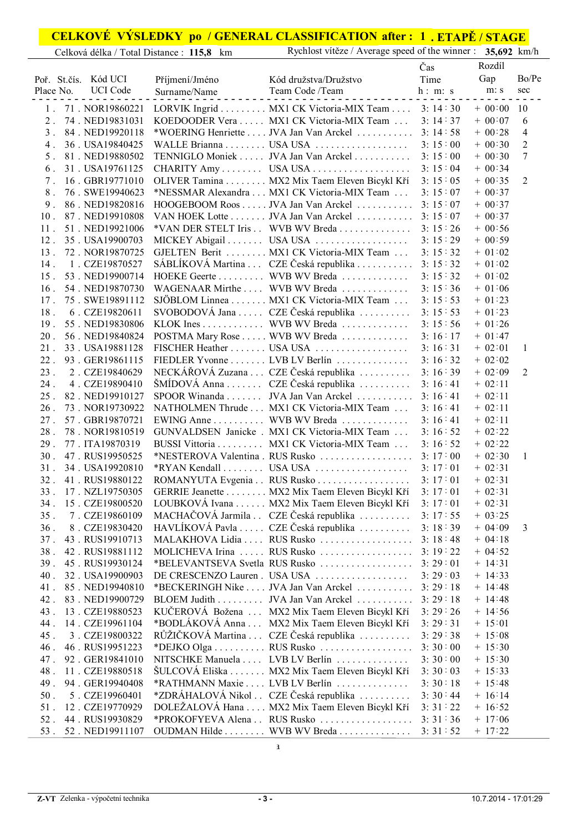## **CELKOVÉ VÝSLEDKY po / GENERAL CLASSIFICATION 1 . ETAPĚ / STAGE after :**

|                                           |                               | <u>CELINOVE VIBLEDINI PO / GENENAL CLABBIFICATION ARRI . I , ETALE / STAGE</u><br>Rychlost vítěze / Average speed of the winner : 35,692 km/h |         |              |                 |
|-------------------------------------------|-------------------------------|-----------------------------------------------------------------------------------------------------------------------------------------------|---------|--------------|-----------------|
| Celková délka / Total Distance : 115,8 km |                               |                                                                                                                                               |         |              |                 |
|                                           |                               |                                                                                                                                               | Čas     | Rozdíl       |                 |
| Kód UCI<br>Poř. St.čís.                   | Příjmení/Jméno                | Kód družstva/Družstvo                                                                                                                         | Time    | Gap          | Bo/Pe           |
| <b>UCI</b> Code<br>Place No.              | Surname/Name<br>$\frac{1}{2}$ | Team Code /Team                                                                                                                               | h: m: s | m: s         | sec             |
|                                           |                               | 1. 71. NOR19860221 LORVIK Ingrid  MX1 CK Victoria-MIX Team  3: 14:30                                                                          |         | $+ 00.00 10$ |                 |
| 74. NED19831031<br>$2$ .                  |                               | KOEDOODER Vera MX1 CK Victoria-MIX Team                                                                                                       | 3:14:37 | $+ 00:07$    | 6               |
| 3. 84. NED19920118                        |                               | *WOERING Henriette  JVA Jan Van Arckel  3: 14:58                                                                                              |         | $+ 00:28$    | $\overline{4}$  |
| 36. USA19840425<br>4 <sub>1</sub>         |                               |                                                                                                                                               | 3:15:00 | $+ 00:30$    | $\overline{2}$  |
| 81. NED19880502<br>5 <sub>1</sub>         |                               | TENNIGLO Moniek  JVA Jan Van Arckel  3: 15:00                                                                                                 |         | $+ 00:30$    | $7\phantom{.0}$ |
| 31. USA19761125<br>6.                     |                               | CHARITY Amy USA USA                                                                                                                           | 3:15:04 | $+ 00:34$    |                 |
| 16. GBR19771010<br>7.                     |                               | OLIVER Tamina MX2 Mix Taem Eleven Bicykl Kří                                                                                                  | 3:15:05 | $+ 00:35$    | 2               |
| 8 <sup>1</sup><br>76. SWE19940623         |                               | *NESSMAR Alexandra MX1 CK Victoria-MIX Team                                                                                                   | 3:15:07 | $+ 00:37$    |                 |
| 86. NED19820816<br>9 <sub>1</sub>         |                               | HOOGEBOOM Roos JVA Jan Van Arckel 3: 15:07                                                                                                    |         | $+ 00:37$    |                 |
| 87. NED19910808<br>10 <sub>1</sub>        |                               | VAN HOEK Lotte JVA Jan Van Arckel 3: 15:07                                                                                                    |         | $+ 00:37$    |                 |
|                                           |                               |                                                                                                                                               |         |              |                 |
| 51. NED19921006<br>$11$ .                 |                               | *VAN DER STELT Iris . WVB WV Breda 3: 15 : 26                                                                                                 |         | $+ 00:56$    |                 |
| 12. 35. USA19900703                       |                               |                                                                                                                                               | 3:15:29 | $+ 00:59$    |                 |
| 72. NOR19870725<br>13 <sup>1</sup>        |                               | GJELTEN Berit MX1 CK Victoria-MIX Team                                                                                                        | 3:15:32 | $+ 01:02$    |                 |
| 14.<br>1. CZE19870527                     |                               | SÁBLÍKOVÁ Martina  CZE Česká republika  3: 15:32                                                                                              |         | $+ 01:02$    |                 |
| 15 <sup>15</sup><br>53. NED19900714       |                               | HOEKE Geerte WVB WV Breda                                                                                                                     | 3:15:32 | $+ 01:02$    |                 |
| $16$ .<br>54. NED19870730                 |                               | WAGENAAR Mirthe  WVB WV Breda                                                                                                                 | 3:15:36 | $+ 01:06$    |                 |
| 75. SWE19891112<br>17 <sub>1</sub>        |                               | SJÖBLOM Linnea MX1 CK Victoria-MIX Team                                                                                                       | 3:15:53 | $+ 01:23$    |                 |
| $18$ .<br>6. CZE19820611                  |                               | SVOBODOVÁ Jana  CZE Česká republika  3: 15:53                                                                                                 |         | $+ 01:23$    |                 |
| 55. NED19830806<br>19 <sub>1</sub>        |                               | KLOK Ines WVB WV Breda                                                                                                                        | 3:15:56 | $+ 01:26$    |                 |
| $20$ .<br>56. NED19840824                 |                               | POSTMA Mary Rose WVB WV Breda                                                                                                                 | 3:16:17 | $+ 01:47$    |                 |
| $21$ .<br>33. USA19881128                 |                               | FISCHER Heather  USA USA                                                                                                                      | 3:16:31 | $+ 02:01$    | $\mathbf{1}$    |
| $22$ .<br>93. GER19861115                 |                               | FIEDLER Yvonne  LVB LV Berlín                                                                                                                 | 3:16:32 | $+ 02:02$    |                 |
| $23$ .<br>2. CZE19840629                  |                               | NECKÁŘOVÁ Zuzana  CZE Česká republika  3: 16:39                                                                                               |         | $+ 02:09$    | 2               |
| $24$ .<br>4. CZE19890410                  |                               | ŠMÍDOVÁ Anna CZE Česká republika 3: 16:41                                                                                                     |         | $+ 02:11$    |                 |
| $25$ .<br>82. NED19910127                 |                               | SPOOR Winanda JVA Jan Van Arckel 3: 16:41                                                                                                     |         | $+ 02:11$    |                 |
| $26$ .<br>73. NOR19730922                 |                               | NATHOLMEN Thrude MX1 CK Victoria-MIX Team                                                                                                     | 3:16:41 | $+ 02:11$    |                 |
| 57. GBR19870721<br>27 <sub>1</sub>        |                               | EWING Anne WVB WV Breda                                                                                                                       | 3:16:41 | $+ 02:11$    |                 |
| $28$ .<br>78. NOR19810519                 |                               | GUNVALDSEN Janicke . MX1 CK Victoria-MIX Team                                                                                                 | 3:16:52 | $+ 02:22$    |                 |
| 29.<br>77. ITA19870319                    |                               | BUSSI Vittoria MX1 CK Victoria-MIX Team                                                                                                       | 3:16:52 | $+ 02:22$    |                 |
| 30 <sub>1</sub><br>47. RUS19950525        |                               |                                                                                                                                               |         | $+ 02:30$    | $\mathbf{1}$    |
| 31. 34. USA19920810                       |                               |                                                                                                                                               | 3:17:01 | $+ 02:31$    |                 |
| 32 <sup>1</sup><br>41. RUS19880122        |                               | ROMANYUTA Evgenia RUS Rusko 3: 17:01                                                                                                          |         | $+ 02:31$    |                 |
| 33. 17. NZL19750305                       |                               | GERRIE Jeanette MX2 Mix Taem Eleven Bicykl Kří                                                                                                | 3:17:01 | $+ 02:31$    |                 |
| 34. 15. CZE19800520                       |                               | LOUBKOVÁ Ivana MX2 Mix Taem Eleven Bicykl Kří                                                                                                 | 3:17:01 | $+ 02:31$    |                 |
| 35.<br>7. CZE19860109                     |                               | MACHAČOVÁ Jarmila . CZE Česká republika                                                                                                       | 3:17:55 | $+ 03:25$    |                 |
| 36.<br>8. CZE19830420                     |                               | HAVLÍKOVÁ Pavla  CZE Česká republika                                                                                                          | 3:18:39 | $+04:09$     | 3               |
| 43. RUS19910713<br>37 <sub>1</sub>        |                               | MALAKHOVA Lidia  RUS Rusko                                                                                                                    | 3:18:48 | $+ 04:18$    |                 |
| 38.<br>42. RUS19881112                    |                               | MOLICHEVA Irina  RUS Rusko                                                                                                                    | 3:19:22 | $+ 04:52$    |                 |
| 39.<br>45. RUS19930124                    |                               |                                                                                                                                               |         | $+ 14:31$    |                 |
| 40.<br>32. USA19900903                    |                               | DE CRESCENZO Lauren. USA USA                                                                                                                  | 3:29:03 | $+ 14:33$    |                 |
| $41$ .<br>85. NED19940810                 |                               | *BECKERINGH Nike  JVA Jan Van Arckel                                                                                                          | 3:29:18 | $+ 14:48$    |                 |
| $42$ .<br>83. NED19900729                 |                               | BLOEM Judith JVA Jan Van Arckel                                                                                                               | 3:29:18 | $+ 14:48$    |                 |
| 43.<br>13. CZE19880523                    |                               | KUČEROVÁ Božena  MX2 Mix Taem Eleven Bicykl Kří                                                                                               | 3:29:26 | $+ 14:56$    |                 |
| 14. CZE19961104<br>44.                    |                               | *BODLÁKOVÁ Anna  MX2 Mix Taem Eleven Bicykl Kří                                                                                               | 3:29:31 | $+ 15:01$    |                 |
| 45.<br>3. CZE19800322                     |                               | RŮŽIČKOVÁ Martina CZE Česká republika                                                                                                         | 3:29:38 | $+ 15:08$    |                 |
| 46.<br>46. RUS19951223                    |                               |                                                                                                                                               | 3:30:00 | $+ 15:30$    |                 |
| 92. GER19841010<br>47.                    |                               | NITSCHKE Manuela  LVB LV Berlín                                                                                                               | 3:30:00 | $+ 15:30$    |                 |
| 11. CZE19880518<br>48.                    |                               | ŠULCOVÁ Eliška MX2 Mix Taem Eleven Bicykl Kří                                                                                                 | 3:30:03 | $+ 15:33$    |                 |
| 94. GER19940408<br>49.                    |                               | *RATHMANN Maxie  LVB LV Berlín                                                                                                                | 3:30:18 | $+ 15:48$    |                 |
| 5. CZE19960401<br>$50$ .                  |                               | *ZDRÁHALOVÁ Nikol . CZE Česká republika                                                                                                       | 3:30:44 | $+ 16:14$    |                 |
| $51$ .<br>12. CZE19770929                 |                               | DOLEŽALOVÁ Hana  MX2 Mix Taem Eleven Bicykl Kří                                                                                               | 3:31:22 | $+ 16:52$    |                 |
| $52$ .<br>44. RUS19930829                 |                               | *PROKOFYEVA Alena . RUS Rusko 3: 31:36                                                                                                        |         | $+ 17:06$    |                 |
| $53$ .<br>52. NED19911107                 |                               | OUDMAN Hilde WVB WV Breda 3: 31:52                                                                                                            |         | $+ 17:22$    |                 |